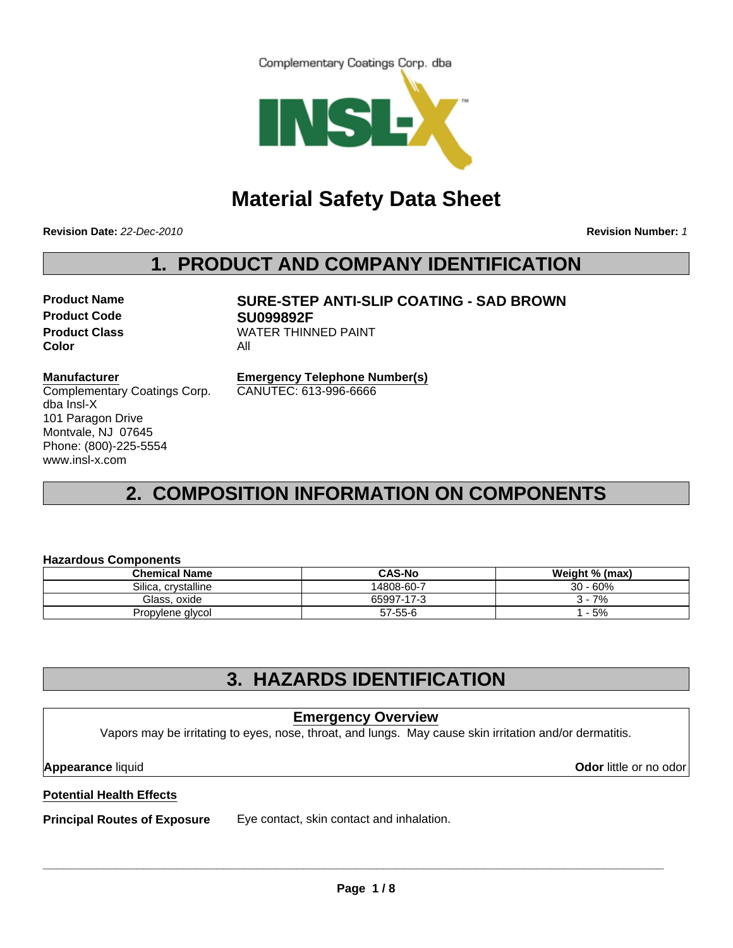Complementary Coatings Corp. dba



# **Material Safety Data Sheet**

**Revision Date:** *22-Dec-2010*

**Revision Number:** *1*

## **1. PRODUCT AND COMPANY IDENTIFICATION**

**Product Code SU099892F Color** All

# **Product Name SURE-STEP ANTI-SLIP COATING - SAD BROWN Product Class WATER THINNED PAINT**

#### **Manufacturer**

Complementary Coatings Corp. dba Insl-X 101 Paragon Drive Montvale, NJ 07645 Phone: (800)-225-5554 www.insl-x.com

**Emergency Telephone Number(s)** CANUTEC: 613-996-6666

# **2. COMPOSITION INFORMATION ON COMPONENTS**

#### **Hazardous Components**

| <b>Chemical Name</b> | <b>CAS-No</b> | Weight % (max) |
|----------------------|---------------|----------------|
| Silica, crystalline  | 14808-60-7    | $30 - 60%$     |
| Glass, oxide         | 65997-17-3    | 7%             |
| Propylene glycol     | $57 - 55 - 6$ | - 5%           |

### **3. HAZARDS IDENTIFICATION**

### **Emergency Overview**

Vapors may be irritating to eyes, nose, throat, and lungs. May cause skin irritation and/or dermatitis.

**Appearance** liquid **Odor** little or no odor

### **Potential Health Effects**

**Principal Routes of Exposure** Eye contact, skin contact and inhalation.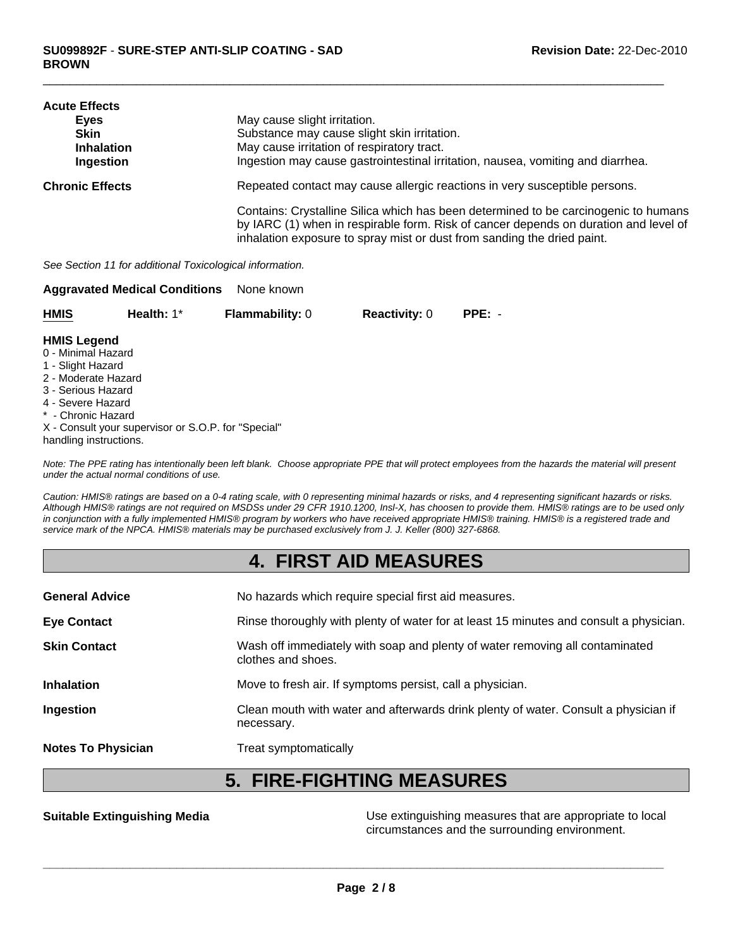| <b>Acute Effects</b>   |                                                                                                                                                                                                                                                        |
|------------------------|--------------------------------------------------------------------------------------------------------------------------------------------------------------------------------------------------------------------------------------------------------|
| Eves                   | May cause slight irritation.                                                                                                                                                                                                                           |
| <b>Skin</b>            | Substance may cause slight skin irritation.                                                                                                                                                                                                            |
| <b>Inhalation</b>      | May cause irritation of respiratory tract.                                                                                                                                                                                                             |
| Ingestion              | Ingestion may cause gastrointestinal irritation, nausea, vomiting and diarrhea.                                                                                                                                                                        |
| <b>Chronic Effects</b> | Repeated contact may cause allergic reactions in very susceptible persons.                                                                                                                                                                             |
|                        | Contains: Crystalline Silica which has been determined to be carcinogenic to humans<br>by IARC (1) when in respirable form. Risk of cancer depends on duration and level of<br>inhalation exposure to spray mist or dust from sanding the dried paint. |

*See Section 11 for additional Toxicological information.*

|             | <b>Aggravated Medical Conditions</b> | None known             |                      |          |
|-------------|--------------------------------------|------------------------|----------------------|----------|
| <b>HMIS</b> | Health: $1^*$                        | <b>Flammability: 0</b> | <b>Reactivity: 0</b> | $PPE: -$ |

#### **HMIS Legend**

- 0 Minimal Hazard
- 1 Slight Hazard
- 2 Moderate Hazard
- 3 Serious Hazard
- 4 Severe Hazard
- \* Chronic Hazard
- X Consult your supervisor or S.O.P. for "Special"
- handling instructions.

*Note: The PPE rating has intentionally been left blank. Choose appropriate PPE that will protect employees from the hazards the material will present under the actual normal conditions of use.*

*Caution: HMIS® ratings are based on a 0-4 rating scale, with 0 representing minimal hazards or risks, and 4 representing significant hazards or risks. Although HMIS® ratings are not required on MSDSs under 29 CFR 1910.1200, Insl-X, has choosen to provide them. HMIS® ratings are to be used only in conjunction with a fully implemented HMIS® program by workers who have received appropriate HMIS® training. HMIS® is a registered trade and service mark of the NPCA. HMIS® materials may be purchased exclusively from J. J. Keller (800) 327-6868.*

### **4. FIRST AID MEASURES**

| <b>General Advice</b>     | No hazards which require special first aid measures.                                               |
|---------------------------|----------------------------------------------------------------------------------------------------|
| <b>Eye Contact</b>        | Rinse thoroughly with plenty of water for at least 15 minutes and consult a physician.             |
| <b>Skin Contact</b>       | Wash off immediately with soap and plenty of water removing all contaminated<br>clothes and shoes. |
| <b>Inhalation</b>         | Move to fresh air. If symptoms persist, call a physician.                                          |
| Ingestion                 | Clean mouth with water and afterwards drink plenty of water. Consult a physician if<br>necessary.  |
| <b>Notes To Physician</b> | Treat symptomatically                                                                              |

### **5. FIRE-FIGHTING MEASURES**

**Suitable Extinguishing Media** Moreon Connection Use extinguishing measures that are appropriate to local circumstances and the surrounding environment.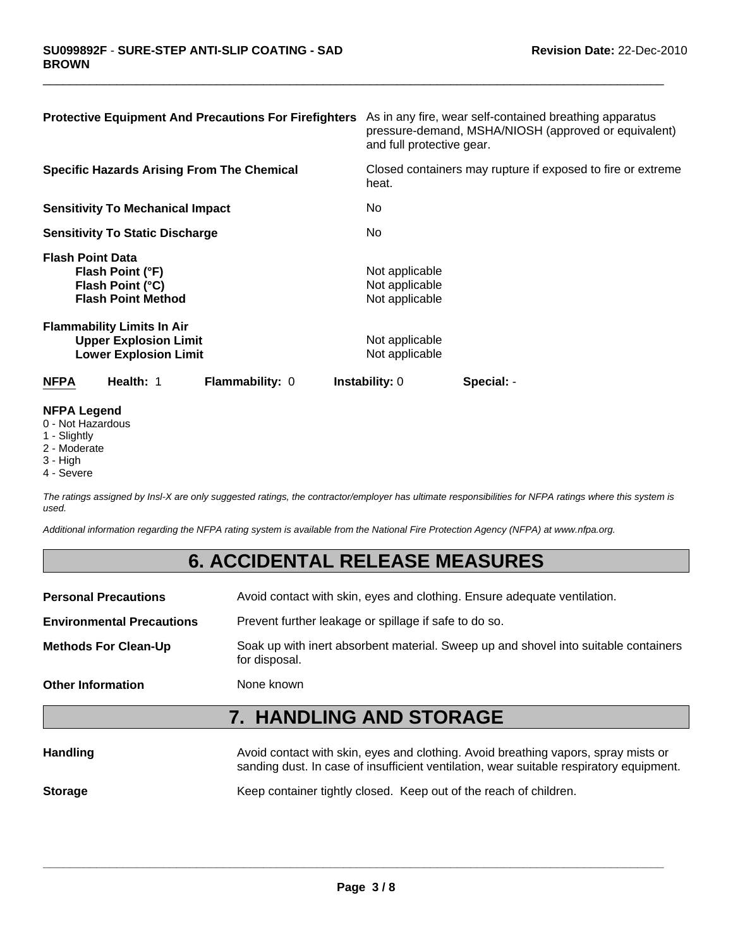| <b>Protective Equipment And Precautions For Firefighters</b>                                      | As in any fire, wear self-contained breathing apparatus<br>pressure-demand, MSHA/NIOSH (approved or equivalent)<br>and full protective gear. |
|---------------------------------------------------------------------------------------------------|----------------------------------------------------------------------------------------------------------------------------------------------|
| <b>Specific Hazards Arising From The Chemical</b>                                                 | Closed containers may rupture if exposed to fire or extreme<br>heat.                                                                         |
| <b>Sensitivity To Mechanical Impact</b>                                                           | No.                                                                                                                                          |
| <b>Sensitivity To Static Discharge</b>                                                            | No.                                                                                                                                          |
| <b>Flash Point Data</b><br>Flash Point (°F)<br>Flash Point (°C)<br><b>Flash Point Method</b>      | Not applicable<br>Not applicable<br>Not applicable                                                                                           |
| <b>Flammability Limits In Air</b><br><b>Upper Explosion Limit</b><br><b>Lower Explosion Limit</b> | Not applicable<br>Not applicable                                                                                                             |
| Health: 1<br><b>NFPA</b><br><b>Flammability: 0</b>                                                | <b>Instability: 0</b><br>Special: -                                                                                                          |

#### **NFPA Legend**

- 0 Not Hazardous
- 1 Slightly
- 2 Moderate
- 3 High
- 4 Severe

*The ratings assigned by Insl-X are only suggested ratings, the contractor/employer has ultimate responsibilities for NFPA ratings where this system is used.*

*Additional information regarding the NFPA rating system is available from the National Fire Protection Agency (NFPA) at www.nfpa.org.*

### **6. ACCIDENTAL RELEASE MEASURES**

**Personal Precautions** Avoid contact with skin, eyes and clothing. Ensure adequate ventilation.

**Environmental Precautions** Prevent further leakage or spillage if safe to do so.

**Methods For Clean-Up** Soak up with inert absorbent material. Sweep up and shovel into suitable containers for disposal.

**Other Information** None known

# **7. HANDLING AND STORAGE**

| <b>Handling</b> | Avoid contact with skin, eyes and clothing. Avoid breathing vapors, spray mists or<br>sanding dust. In case of insufficient ventilation, wear suitable respiratory equipment. |
|-----------------|-------------------------------------------------------------------------------------------------------------------------------------------------------------------------------|
| <b>Storage</b>  | Keep container tightly closed. Keep out of the reach of children.                                                                                                             |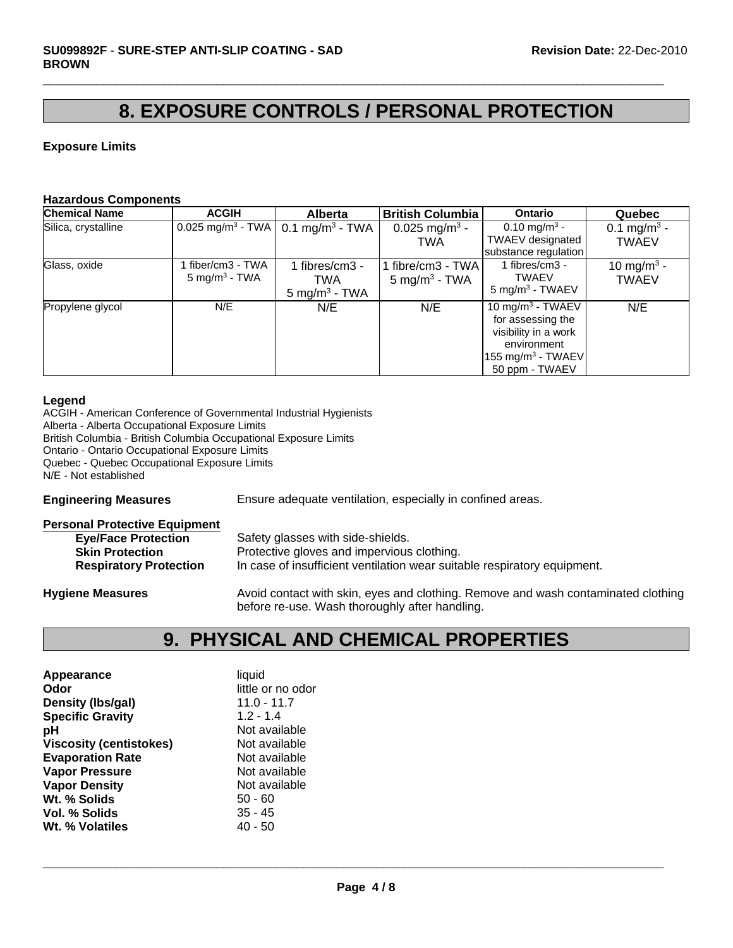### **8. EXPOSURE CONTROLS / PERSONAL PROTECTION**

 $\Box$ 

#### **Exposure Limits**

#### **Hazardous Components**

| <b>Chemical Name</b> | <b>ACGIH</b>                                | <b>Alberta</b>                                    | <b>British Columbia</b>                       | <b>Ontario</b>                                                                                                                             | <b>Quebec</b>                           |
|----------------------|---------------------------------------------|---------------------------------------------------|-----------------------------------------------|--------------------------------------------------------------------------------------------------------------------------------------------|-----------------------------------------|
| Silica, crystalline  | $0.025$ mg/m <sup>3</sup> - TWA             | 0.1 mg/m <sup>3</sup> - TWA                       | 0.025 mg/m <sup>3</sup> -<br><b>TWA</b>       | 0.10 mg/m <sup>3</sup> -<br>TWAEV designated<br>substance regulation                                                                       | 0.1 mg/m <sup>3</sup> -<br><b>TWAEV</b> |
| Glass, oxide         | fiber/cm3 - TWA<br>$5 \text{ mg/m}^3$ - TWA | 1 fibres/cm3 -<br>TWA<br>$5 \text{ mg/m}^3$ - TWA | 1 fibre/cm3 - TWA<br>$5 \text{ mg/m}^3$ - TWA | 1 fibres/cm3 -<br><b>TWAEV</b><br>$5 \text{ mg/m}^3$ - TWAEV                                                                               | 10 mg/m <sup>3</sup> -<br><b>TWAEV</b>  |
| Propylene glycol     | N/E                                         | N/E                                               | N/E                                           | 10 mg/m <sup>3</sup> - TWAEV<br>for assessing the<br>visibility in a work<br>environment<br>$155 \text{ mg/m}^3$ - TWAEV<br>50 ppm - TWAEV | N/E                                     |

#### **Legend**

ACGIH - American Conference of Governmental Industrial Hygienists Alberta - Alberta Occupational Exposure Limits British Columbia - British Columbia Occupational Exposure Limits Ontario - Ontario Occupational Exposure Limits Quebec - Quebec Occupational Exposure Limits N/E - Not established

**Engineering Measures** Ensure adequate ventilation, especially in confined areas.

| <b>Personal Protective Equipment</b> |                                                                                   |
|--------------------------------------|-----------------------------------------------------------------------------------|
| <b>Eye/Face Protection</b>           | Safety glasses with side-shields.                                                 |
| <b>Skin Protection</b>               | Protective gloves and impervious clothing.                                        |
| <b>Respiratory Protection</b>        | In case of insufficient ventilation wear suitable respiratory equipment.          |
| <b>Hygiene Measures</b>              | Avoid contact with skin, eyes and clothing. Remove and wash contaminated clothing |

# **9. PHYSICAL AND CHEMICAL PROPERTIES**

before re-use. Wash thoroughly after handling.

| Appearance                     | liquid            |
|--------------------------------|-------------------|
| Odor                           | little or no odor |
| Density (Ibs/gal)              | $11.0 - 11.7$     |
| <b>Specific Gravity</b>        | $1.2 - 1.4$       |
| рH                             | Not available     |
| <b>Viscosity (centistokes)</b> | Not available     |
| <b>Evaporation Rate</b>        | Not available     |
| <b>Vapor Pressure</b>          | Not available     |
| <b>Vapor Density</b>           | Not available     |
| Wt. % Solids                   | $50 - 60$         |
| Vol. % Solids                  | $35 - 45$         |
| Wt. % Volatiles                | 40 - 50           |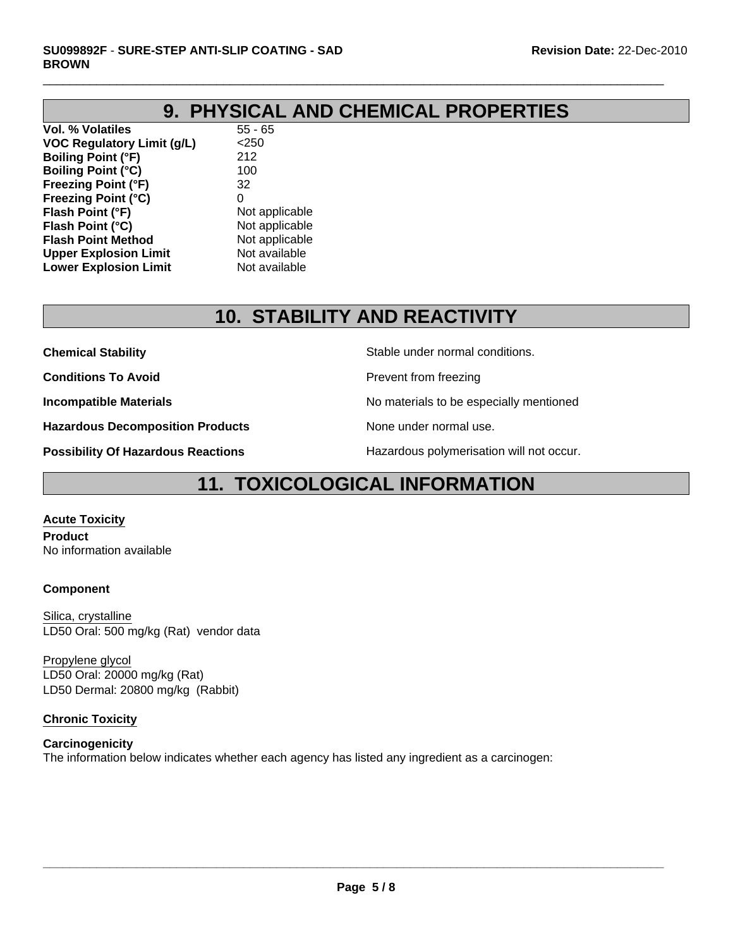# **9. PHYSICAL AND CHEMICAL PROPERTIES**

 $\Box$ 

**Vol. % Volatiles** 55 - 65 **VOC Regulatory Limit (g/L)** <250 **Boiling Point (°F)** 212 **Boiling Point (°C)** 100 **Freezing Point (°F)** 32 **Freezing Point (°C)** 0 **Flash Point (°F)** Not applicable **Flash Point (°C)** Not applicable **Flash Point Method** Not applicable **Upper Explosion Limit** Not available<br> **Lower Explosion Limit** Not available **Lower Explosion Limit** 

# **10. STABILITY AND REACTIVITY**

**Chemical Stability** Stable under normal conditions.

**Conditions To Avoid Prevent from freezing** 

**Incompatible Materials No materials** No materials to be especially mentioned

**Hazardous Decomposition Products** None under normal use.

**Possibility Of Hazardous Reactions The Constant Hazardous polymerisation will not occur.** 

### **11. TOXICOLOGICAL INFORMATION**

**Acute Toxicity Product**

No information available

#### **Component**

Silica, crystalline LD50 Oral: 500 mg/kg (Rat) vendor data

LD50 Oral: 20000 mg/kg (Rat) LD50 Dermal: 20800 mg/kg (Rabbit) Propylene glycol

#### **Chronic Toxicity**

### **Carcinogenicity**

The information below indicates whether each agency has listed any ingredient as a carcinogen: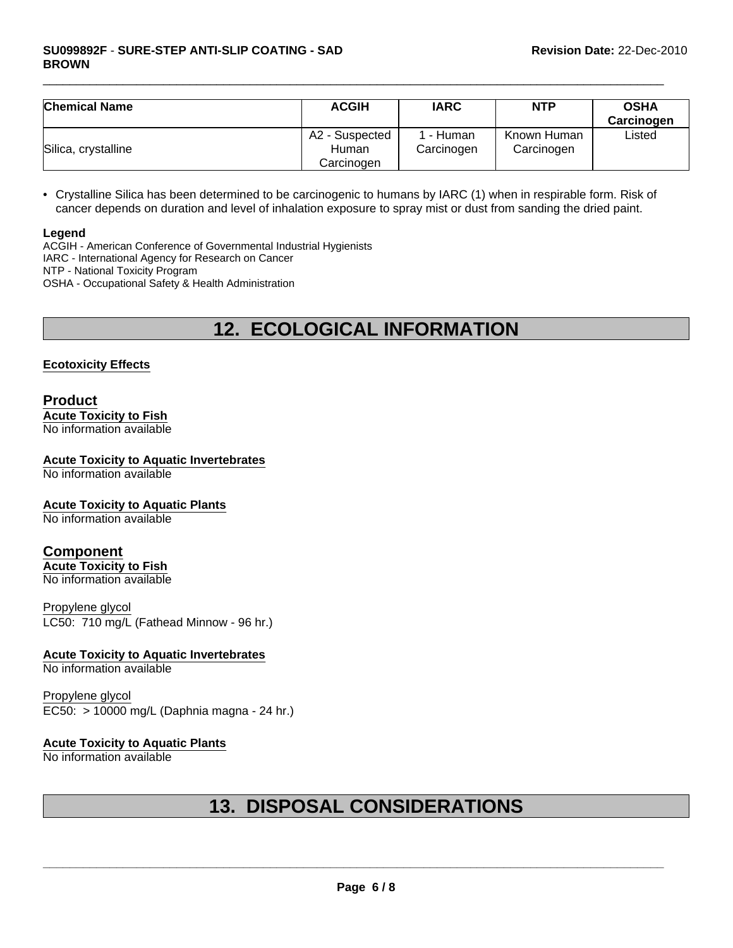| <b>Chemical Name</b> | <b>ACGIH</b>                          | <b>IARC</b>           | <b>NTP</b>                | <b>OSHA</b><br>Carcinogen |
|----------------------|---------------------------------------|-----------------------|---------------------------|---------------------------|
| Silica, crystalline  | A2 - Suspected<br>Human<br>Carcinogen | - Human<br>Carcinogen | Known Human<br>Carcinogen | Listed                    |

• Crystalline Silica has been determined to be carcinogenic to humans by IARC (1) when in respirable form. Risk of cancer depends on duration and level of inhalation exposure to spray mist or dust from sanding the dried paint.

#### **Legend**

ACGIH - American Conference of Governmental Industrial Hygienists IARC - International Agency for Research on Cancer NTP - National Toxicity Program OSHA - Occupational Safety & Health Administration

# **12. ECOLOGICAL INFORMATION**

#### **Ecotoxicity Effects**

#### **Product Acute Toxicity to Fish** No information available

### **Acute Toxicity to Aquatic Invertebrates**

No information available

#### **Acute Toxicity to Aquatic Plants**

No information available

#### **Component**

**Acute Toxicity to Fish** No information available

Propylene glycol LC50: 710 mg/L (Fathead Minnow - 96 hr.)

#### **Acute Toxicity to Aquatic Invertebrates**

No information available

Propylene glycol EC50: > 10000 mg/L (Daphnia magna - 24 hr.)

#### **Acute Toxicity to Aquatic Plants**

No information available

# **13. DISPOSAL CONSIDERATIONS**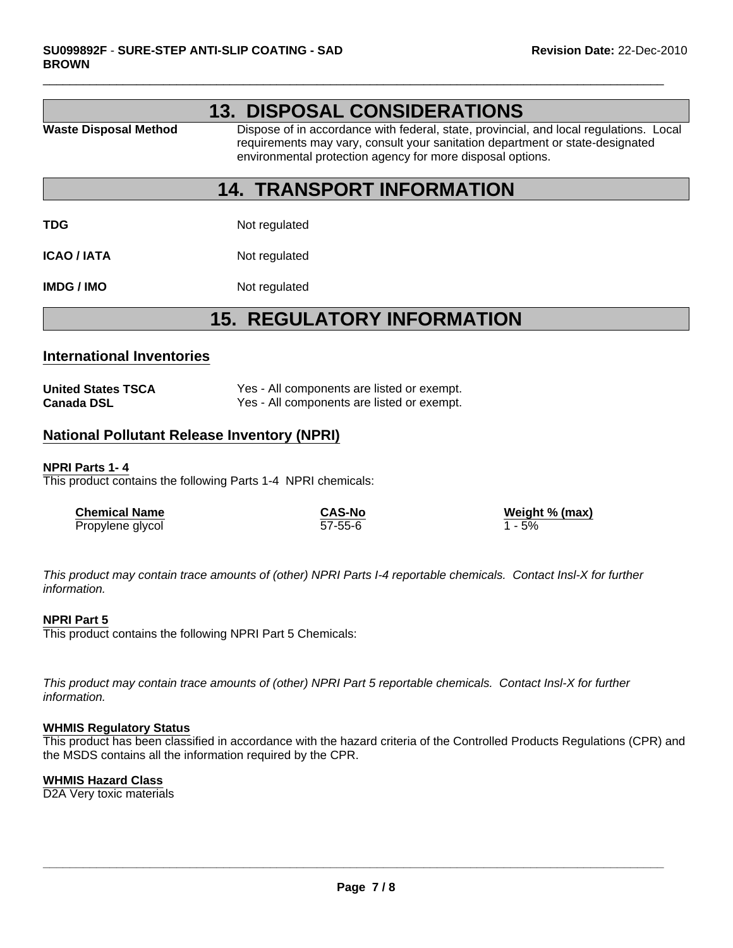|                              | <b>13. DISPOSAL CONSIDERATIONS</b>                                                                                                                                                                                                    |
|------------------------------|---------------------------------------------------------------------------------------------------------------------------------------------------------------------------------------------------------------------------------------|
| <b>Waste Disposal Method</b> | Dispose of in accordance with federal, state, provincial, and local regulations. Local<br>requirements may vary, consult your sanitation department or state-designated<br>environmental protection agency for more disposal options. |

### **14. TRANSPORT INFORMATION**

**TDG** Not regulated

**ICAO / IATA** Not regulated

**IMDG / IMO** Not regulated

### **15. REGULATORY INFORMATION**

#### **International Inventories**

| <b>United States TSCA</b> | Yes - All components are listed or exempt. |
|---------------------------|--------------------------------------------|
| <b>Canada DSL</b>         | Yes - All components are listed or exempt. |

#### **National Pollutant Release Inventory (NPRI)**

#### **NPRI Parts 1- 4**

This product contains the following Parts 1-4 NPRI chemicals:

| <b>Chemical Name</b> | <b>CAS-No</b> | Weight % (max) |
|----------------------|---------------|----------------|
| Propylene glycol     | $57 - 55 - 6$ | 1 - 5%         |

*This product may contain trace amounts of (other) NPRI Parts I-4 reportable chemicals. Contact Insl-X for further information.*

#### **NPRI Part 5**

This product contains the following NPRI Part 5 Chemicals:

*This product may contain trace amounts of (other) NPRI Part 5 reportable chemicals. Contact Insl-X for further information.*

#### **WHMIS Regulatory Status**

This product has been classified in accordance with the hazard criteria of the Controlled Products Regulations (CPR) and the MSDS contains all the information required by the CPR.

#### **WHMIS Hazard Class**

D2A Very toxic materials